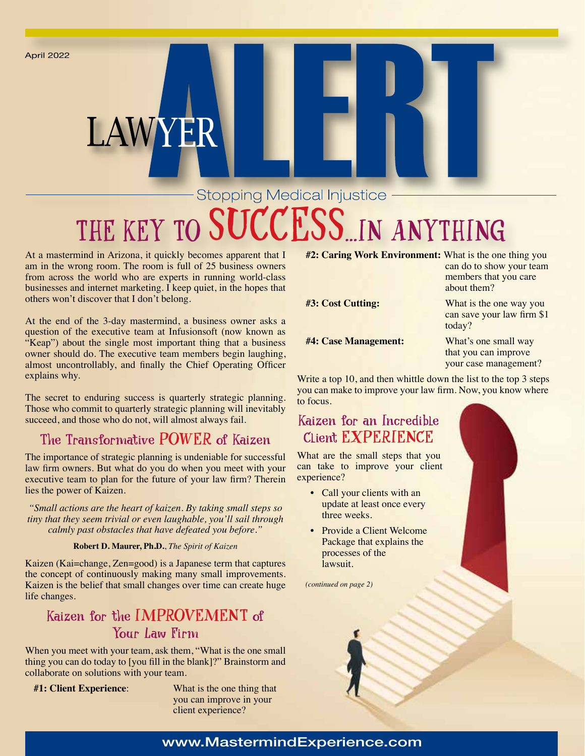April 2022

# **Stopping Medical Injustice** THE KEY TO SUCCESS.IN ANYTHING

At a mastermind in Arizona, it quickly becomes apparent that I am in the wrong room. The room is full of 25 business owners from across the world who are experts in running world-class businesses and internet marketing. I keep quiet, in the hopes that others won't discover that I don't belong.

LAWYER

At the end of the 3-day mastermind, a business owner asks a question of the executive team at Infusionsoft (now known as "Keap") about the single most important thing that a business owner should do. The executive team members begin laughing, almost uncontrollably, and finally the Chief Operating Officer explains why.

The secret to enduring success is quarterly strategic planning. Those who commit to quarterly strategic planning will inevitably succeed, and those who do not, will almost always fail.

## The Transformative POWER of Kaizen

The importance of strategic planning is undeniable for successful law firm owners. But what do you do when you meet with your executive team to plan for the future of your law firm? Therein lies the power of Kaizen.

*"Small actions are the heart of kaizen. By taking small steps so tiny that they seem trivial or even laughable, you'll sail through calmly past obstacles that have defeated you before."*

#### **Robert D. Maurer, Ph.D.**, *The Spirit of Kaizen*

Kaizen (Kai=change, Zen=good) is a Japanese term that captures the concept of continuously making many small improvements. Kaizen is the belief that small changes over time can create huge life changes.

## Kaizen for the IMPROVEMENT of Your Law Firm

When you meet with your team, ask them, "What is the one small thing you can do today to [you fill in the blank]?" Brainstorm and collaborate on solutions with your team.

**#1: Client Experience**: What is the one thing that you can improve in your client experience?

**#2: Caring Work Environment:** What is the one thing you

**#4: Case Management:** What's one small way

can do to show your team members that you care about them?

**#3: Cost Cutting:** What is the one way you can save your law firm \$1 today?

> that you can improve your case management?

Write a top 10, and then whittle down the list to the top 3 steps you can make to improve your law firm. Now, you know where to focus.

#### Kaizen for an Incredible Client EXPERIENCE

What are the small steps that you can take to improve your client experience?

- Call your clients with an update at least once every three weeks.
- Provide a Client Welcome Package that explains the processes of the lawsuit.

*(continued on page 2)*



#### www.MastermindExperience.com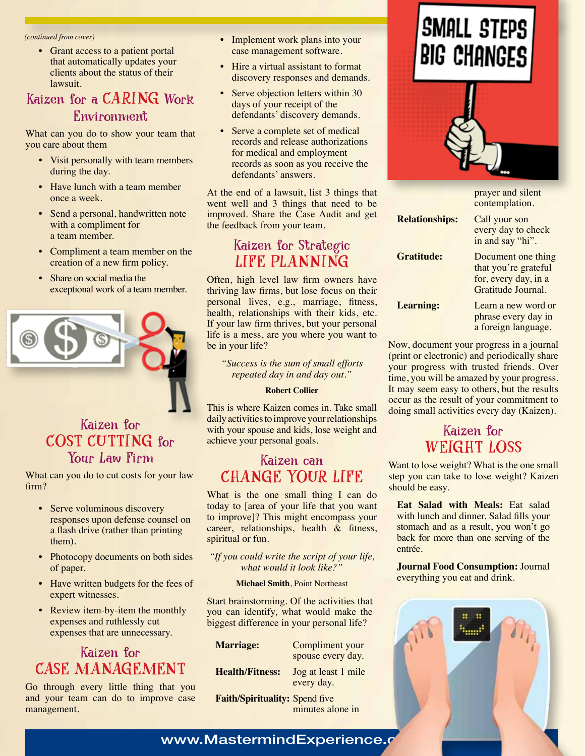*(continued from cover)*

• Grant access to a patient portal that automatically updates your clients about the status of their lawsuit.

## Kaizen for a CARING Work Environment

What can you do to show your team that you care about them

- Visit personally with team members during the day.
- Have lunch with a team member once a week.
- Send a personal, handwritten note with a compliment for a team member.
- Compliment a team member on the creation of a new firm policy.
- Share on social media the exceptional work of a team member.



## Kaizen for COST CUTTING for Your Law Firm

What can you do to cut costs for your law firm?

- Serve voluminous discovery responses upon defense counsel on a flash drive (rather than printing them).
- Photocopy documents on both sides of paper.
- Have written budgets for the fees of expert witnesses.
- Review item-by-item the monthly expenses and ruthlessly cut expenses that are unnecessary.

## Kaizen for CASE MANAGEMENT

Go through every little thing that you and your team can do to improve case management.

- Implement work plans into your case management software.
- Hire a virtual assistant to format discovery responses and demands.
- Serve objection letters within 30 days of your receipt of the defendants' discovery demands.
- Serve a complete set of medical records and release authorizations for medical and employment records as soon as you receive the defendants' answers.

At the end of a lawsuit, list 3 things that went well and 3 things that need to be improved. Share the Case Audit and get the feedback from your team.

### Kaizen for Strategic LIFE PLANNING

Often, high level law firm owners have thriving law firms, but lose focus on their personal lives, e.g., marriage, fitness, health, relationships with their kids, etc. If your law firm thrives, but your personal life is a mess, are you where you want to be in your life?

*"Success is the sum of small efforts repeated day in and day out."*

#### **Robert Collier**

This is where Kaizen comes in. Take small daily activities to improve your relationships with your spouse and kids, lose weight and achieve your personal goals.

### Kaizen can CHANGE YOUR LIFE

What is the one small thing I can do today to [area of your life that you want to improve]? This might encompass your career, relationships, health & fitness, spiritual or fun.

*"If you could write the script of your life, what would it look like?"*

#### **Michael Smith**, Point Northeast

Start brainstorming. Of the activities that you can identify, what would make the biggest difference in your personal life?

| <b>Marriage:</b>               | Compliment your<br>spouse every day. |
|--------------------------------|--------------------------------------|
| <b>Health/Fitness:</b>         | Jog at least 1 mile<br>every day.    |
| Faith/Spirituality: Spend five | minutes alone in                     |

# SMALL STEPS **BIG CHANGES**



|                       | prayer and silent<br>contemplation.                                                      |
|-----------------------|------------------------------------------------------------------------------------------|
| <b>Relationships:</b> | Call your son<br>every day to check<br>in and say "hi".                                  |
| <b>Gratitude:</b>     | Document one thing<br>that you're grateful<br>for, every day, in a<br>Gratitude Journal. |
| <b>Learning:</b>      | Learn a new word or<br>phrase every day in<br>a foreign language.                        |

Now, document your progress in a journal (print or electronic) and periodically share your progress with trusted friends. Over time, you will be amazed by your progress. It may seem easy to others, but the results occur as the result of your commitment to doing small activities every day (Kaizen).

## Kaizen for WEIGHT LOSS

Want to lose weight? What is the one small step you can take to lose weight? Kaizen should be easy.

**Eat Salad with Meals:** Eat salad with lunch and dinner. Salad fills your stomach and as a result, you won't go back for more than one serving of the entrée.

#### **Journal Food Consumption:** Journal everything you eat and drink.



#### www.MastermindExperience.c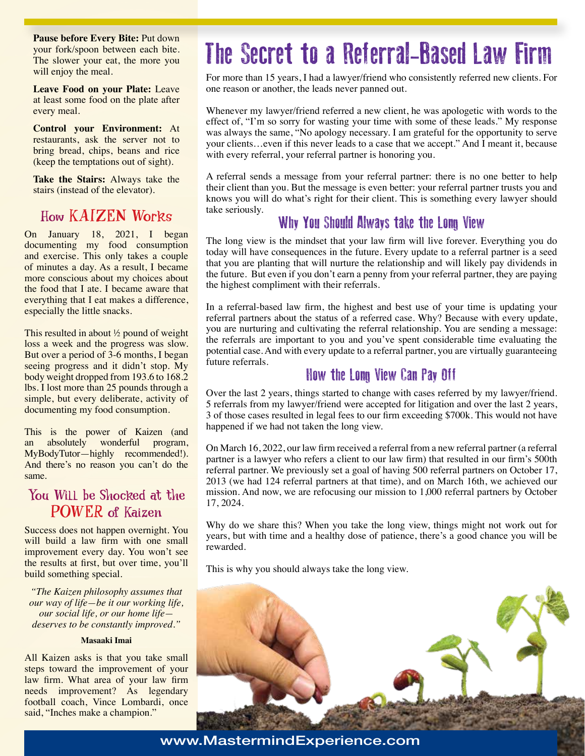**Pause before Every Bite:** Put down your fork/spoon between each bite. The slower your eat, the more you will enjoy the meal.

**Leave Food on your Plate:** Leave at least some food on the plate after every meal.

**Control your Environment:** At restaurants, ask the server not to bring bread, chips, beans and rice (keep the temptations out of sight).

**Take the Stairs:** Always take the stairs (instead of the elevator).

## How KAIZEN Works

On January 18, 2021, I began documenting my food consumption and exercise. This only takes a couple of minutes a day. As a result, I became more conscious about my choices about the food that I ate. I became aware that everything that I eat makes a difference, especially the little snacks.

This resulted in about ½ pound of weight loss a week and the progress was slow. But over a period of 3-6 months, I began seeing progress and it didn't stop. My body weight dropped from 193.6 to 168.2 lbs. I lost more than 25 pounds through a simple, but every deliberate, activity of documenting my food consumption.

This is the power of Kaizen (and an absolutely wonderful program, MyBodyTutor—highly recommended!). And there's no reason you can't do the same.

### You Will be Shocked at the POWER of Kaizen

Success does not happen overnight. You will build a law firm with one small improvement every day. You won't see the results at first, but over time, you'll build something special.

*"The Kaizen philosophy assumes that our way of life—be it our working life, our social life, or our home life deserves to be constantly improved."*

#### **Masaaki Imai**

All Kaizen asks is that you take small steps toward the improvement of your law firm. What area of your law firm needs improvement? As legendary football coach, Vince Lombardi, once said, "Inches make a champion."

# The Secret to a Referral-Based Law Firm

For more than 15 years, I had a lawyer/friend who consistently referred new clients. For one reason or another, the leads never panned out.

Whenever my lawyer/friend referred a new client, he was apologetic with words to the effect of, "I'm so sorry for wasting your time with some of these leads." My response was always the same, "No apology necessary. I am grateful for the opportunity to serve your clients…even if this never leads to a case that we accept." And I meant it, because with every referral, your referral partner is honoring you.

A referral sends a message from your referral partner: there is no one better to help their client than you. But the message is even better: your referral partner trusts you and knows you will do what's right for their client. This is something every lawyer should take seriously.

## Why You Should Always take the Long View

The long view is the mindset that your law firm will live forever. Everything you do today will have consequences in the future. Every update to a referral partner is a seed that you are planting that will nurture the relationship and will likely pay dividends in the future. But even if you don't earn a penny from your referral partner, they are paying the highest compliment with their referrals.

In a referral-based law firm, the highest and best use of your time is updating your referral partners about the status of a referred case. Why? Because with every update, you are nurturing and cultivating the referral relationship. You are sending a message: the referrals are important to you and you've spent considerable time evaluating the potential case. And with every update to a referral partner, you are virtually guaranteeing future referrals.

### How the Long View Can Pay Off

Over the last 2 years, things started to change with cases referred by my lawyer/friend. 5 referrals from my lawyer/friend were accepted for litigation and over the last 2 years, 3 of those cases resulted in legal fees to our firm exceeding \$700k. This would not have happened if we had not taken the long view.

On March 16, 2022, our law firm received a referral from a new referral partner (a referral partner is a lawyer who refers a client to our law firm) that resulted in our firm's 500th referral partner. We previously set a goal of having 500 referral partners on October 17, 2013 (we had 124 referral partners at that time), and on March 16th, we achieved our mission. And now, we are refocusing our mission to 1,000 referral partners by October 17, 2024.

Why do we share this? When you take the long view, things might not work out for years, but with time and a healthy dose of patience, there's a good chance you will be rewarded.

This is why you should always take the long view.



www.MastermindExperience.com